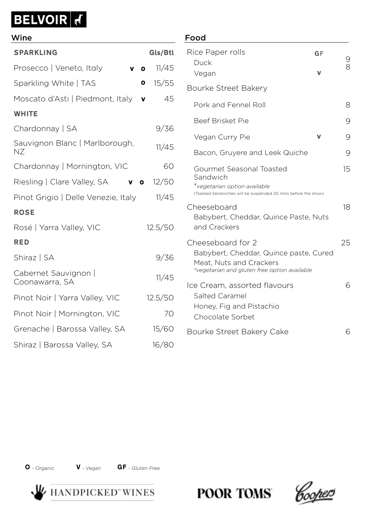# **BELVOIR**

## Food SPARKLING Gls/Btl Prosecco | Veneto, Italy **v o** 11/45 Sparkling White | TAS **0** 15/55 Moscato d'Asti | Piedmont, Italy v 45 **WHITE** Chardonnay | SA 9/36 Sauvignon Blanc | Marlborough, NZ 11/45 Chardonnay | Mornington, VIC 60 Riesling | Clare Valley, SA **v o** 12/50 Pinot Grigio | Delle Venezie, Italy 11/45 ROSE Rosé | Yarra Valley, VIC 12.5/50 RED Shiraz | SA 9/36 Cabernet Sauvignon | Coonawarra, SA 11/45 Pinot Noir | Yarra Valley, VIC 12.5/50 Pinot Noir | Mornington, VIC 70 Grenache | Barossa Valley, SA 15/60 Shiraz | Barossa Valley, SA 16/80 Wine o o v v v o

### Rice Paper rolls Duck Vegan 9 8 Bourke Street Bakery Pork and Fennel Roll 8 Beef Brisket Pie 900 and 1900 and 1900 and 1900 and 1900 and 1900 and 1900 and 1900 and 1900 and 1900 and 1900 Vegan Curry Pie **V** 9 Bacon, Gruyere and Leek Quiche 9 Gourmet Seasonal Toasted Sandwich \**vegetarian option available* (Toasted Sandwiches will be suspended 20 mins before the show) 15 Cheeseboard Babybert, Cheddar, Quince Paste, Nuts and Crackers 18 Cheeseboard for 2 Babybert, Cheddar, Quince paste, Cured Meat, Nuts and Crackers *\*vegetarian and gluten free option available* 25 Ice Cream, assorted flavours Salted Caramel Honey, Fig and Pistachio Chocolate Sorbet 6 Bourke Street Bakery Cake 6 v GF v

O *- Organic* V *- Vegan* GF *- Gluten Free*



**POOR TOMS**